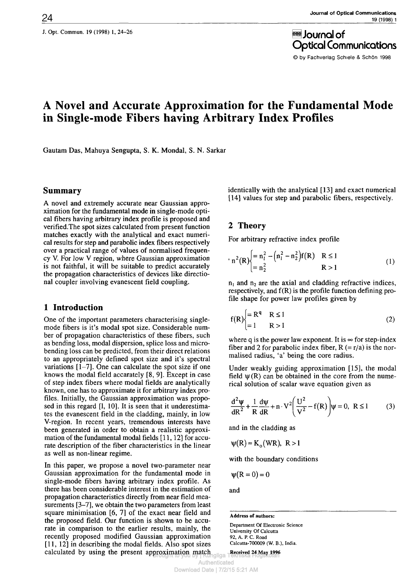J. Opt. Commun. 19 (1998) 1, 24-26  $\overline{\text{se}}$  Journal of

Optical Communications © by Fachverlag Schiele & Schön 1998

# **A Novel and Accurate Approximation for the Fundamental Mode in Single-mode Fibers having Arbitrary Index Profiles**

Gautam Das, Mahuya Sengupta, S. K. Mondal, S. N. Sarkar

### **Summary**

A novel and extremely accurate near Gaussian approximation for the fundamental mode in single-mode optical fibers having arbitrary index profile is proposed and verified.The spot sizes calculated from present function matches exactly with the analytical and exact numerical results for step and parabolic index fibers respectively over a practical range of values of normalised frequency V. For low V region, where Gaussian approximation is not faithful, it will be suitable to predict accurately the propagation characteristics of devices like directional coupler involving evanescent field coupling.

# **1 Introduction**

One of the important parameters characterising singlemode fibers is it's modal spot size. Considerable number of propagation characteristics of these fibers, such as bending loss, modal dispersion, splice loss and microbending loss can be predicted, from their direct relations to an appropriately defined spot size and it's spectral variations [1—7]. One can calculate the spot size if one knows the modal field accarately [8, 9]. Except in case of step index fibers where modal fields are analytically known, one has to approximate it for arbitrary index profiles. Initially, the Gaussian approximation was proposed in this regard [1, 10]. It is seen that it underestimates the evanescent field in the cladding, mainly, in low V-region. In recent years, tremendous interests have been generated in order to obtain a realistic approximation of the fundamental modal fields [11,12] for accurate description of the fiber characteristics in the linear as well as non-linear regime.

In this paper, we propose a novel two-parameter near Gaussian approximation for the fundamental mode in single-mode fibers having arbitrary index profile. As there has been considerable interest in the estimation of propagation characteristics directly from near field measurements  $[3-7]$ , we obtain the two parameters from least square minimisation [6, 7] of the exact near field and the proposed field. Our function is shown to be accurate in comparison to the earlier results, mainly, the recently proposed modified Gaussian approximation [11, 12] in describing the modal fields. Also spot sizes calculated by using the present approximation match Received 24 May 1996

identically with the analytical [13] and exact numerical [14] values for step and parabolic fibers, respectively.

# **2 Theory**

For arbitrary refractive index profile

$$
n^{2}(R)\begin{cases} = n_{1}^{2} - (n_{1}^{2} - n_{2}^{2})f(R) & R \leq 1\\ = n_{2}^{2} & R > 1 \end{cases}
$$
 (1)

 $n_1$  and  $n_2$  are the axial and cladding refractive indices, respectively, and  $f(R)$  is the profile function defining profile shape for power law profiles given by

$$
f(R)\begin{cases} = R^q & R \le 1\\ = 1 & R > 1 \end{cases}
$$
 (2)

where q is the power law exponent. It is  $\infty$  for step-index fiber and 2 for parabolic index fiber,  $R (= r/a)$  is the normalised radius, 'a' being the core radius.

Under weakly guiding approximation [15], the modal field  $\psi(R)$  can be obtained in the core from the numerical solution of scalar wave equation given as

$$
\frac{d^2\psi}{dR^2} + \frac{1}{R}\frac{d\psi}{dR} + n \cdot V^2 \left(\frac{U^2}{V^2} - f(R)\right)\psi = 0, \ R \le 1
$$
 (3)

and in the cladding as

 $\psi(R) \approx K_o(WR)$ , R > 1

with the boundary conditions

$$
\psi(R=0)=0
$$

and

#### **Address of authors:**

Department Of Electronic Science University Of Calcutta 92, A. P. C. Road Calcutta-700009 (W. B.), India.

**Received 24 May 1996**

Authenticated Download Date | 7/2/15 5:21 AM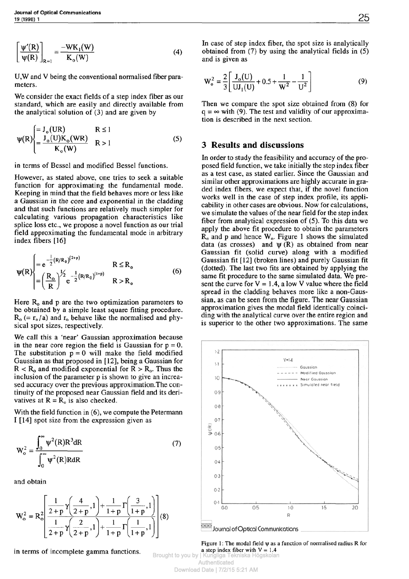$$
\left[\frac{\Psi'(R)}{\Psi(R)}\right]_{R=1} = \frac{-WK_1(W)}{K_0(W)}
$$
\n(4)

U,W and V being the conventional normalised fiber parameters.

We consider the exact fields of a step index fiber as our standard, which are easily and directly available from the analytical solution of (3) and are given by

$$
\Psi(R) \begin{cases} = J_o(UR) & R \le 1 \\ = \frac{J_o(U)K_o(WR)}{K_o(W)} & R > 1 \end{cases}
$$
 (5)

in terms of Bessel and modified Bessel functions.

However, as stated above, one tries to seek a suitable function for approximating the fundamental mode. Keeping in mind that the field behaves more or less like a Gaussian in the core and exponential in the cladding and that such functions are relatively much simpler for calculating various propagation characteristics like splice loss etc., we propose a novel function as our trial field approximating the fundamental mode in arbitrary index fibers [16]

$$
\Psi(R) \begin{cases}\n= e^{-\frac{1}{2}(R/R_0)^{(2+p)}} & R \le R_0 \\
= \left(\frac{R_0}{R}\right)^{\frac{1}{2}} e^{-\frac{1}{2}(R/R_0)^{(1+p)}} & R > R_0\n\end{cases}
$$
\n(6)

Here  $R_0$  and p are the two optimization parameters to be obtained by a simple least square fitting procedure.  $R_o (= r_o/a)$  and  $r_o$  behave like the normalised and physical spot sizes, respectively.

We call this a 'near' Gaussian approximation because in the near core region the field is Gaussian for  $p = 0$ . The substitution  $p = 0$  will make the field modified Gaussian as that proposed in [12], being a Gaussian for  $R < R_0$  and modified exponential for  $R > R_0$ . Thus the inclusion of the parameter p is shown to give an increased accuracy over the previous approximation.The continuity of the proposed near Gaussian field and its derivatives at  $R = R_0$  is also checked.

With the field function in (6), we compute the Petermann I [14] spot size from the expression given as

$$
W_o^2 = \frac{\int_0^\infty \psi^2(R)R^3 dR}{\int_0^\infty \psi^2(R)R dR}
$$
 (7)

and obtain

$$
W_o^2 = R_o^2 \left[ \frac{\frac{1}{2+p} \gamma \left( \frac{4}{2+p}, 1 \right) + \frac{1}{1+p} \Gamma \left( \frac{3}{1+p}, 1 \right)}{\frac{1}{2+p} \gamma \left( \frac{2}{2+p}, 1 \right) + \frac{1}{1+p} \Gamma \left( \frac{1}{1+p}, 1 \right)} \right] (8)
$$

in terms of incomplete gamma functions.

In case of step index fiber, the spot size is analytically obtained from (7) by using the analytical fields in (5) and is given as

$$
W_o^2 = \frac{2}{3} \left[ \frac{J_o(U)}{U J_1(U)} + 0.5 + \frac{1}{W^2} - \frac{1}{U^2} \right]
$$
(9)

Then we compare the spot size obtained from (8) for  $q = \infty$  with (9). The test and validity of our approximation is described in the next section.

### **3 Results and discussions**

In order to study the feasibility and accuracy of the proposed field function, we take initially the step index fiber as a test case, as stated earlier. Since the Gaussian and similar other approximations are highly accurate in graded index fibers, we expect that, if the novel function works well in the case of step index profile, its applicability in other cases are obvious. Now for calculations, we simulate the values of the near field for the step index fiber from analytical expression of (5). To this data we apply the above fit procedure to obtain the parameters  $R_0$  and p and hence  $W_0$ . Figure 1 shows the simulated data (as crosses) and  $\psi(R)$  as obtained from near Gaussian fit (solid curve) along with a modified Gaussian fit [12] (broken lines) and purely Gaussian fit (dotted). The last two fits are obtained by applying the same fit procedure to the same simulated data. We present the curve for  $V = 1.4$ , a low V value where the field spread in the cladding behaves more like a non-Gaussian, as can be seen from the figure. The near Gaussian approximation gives the modal field identically coinciding with the analytical curve over the entire region and is superior to the other two approximations. The same



Figure 1: The modal field ψ as a function of normalised radius R for a step index fiber with  $V = 1.4$ 

Brought to you by | Kungliga Tekniska Högskolan **Authenticated** Download Date | 7/2/15 5:21 AM